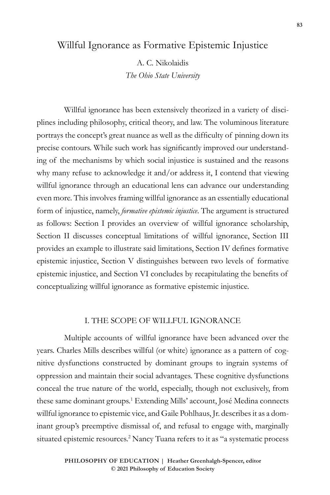# Willful Ignorance as Formative Epistemic Injustice

A. C. Nikolaidis *The Ohio State University*

Willful ignorance has been extensively theorized in a variety of disciplines including philosophy, critical theory, and law. The voluminous literature portrays the concept's great nuance as well as the difficulty of pinning down its precise contours. While such work has significantly improved our understanding of the mechanisms by which social injustice is sustained and the reasons why many refuse to acknowledge it and/or address it, I contend that viewing willful ignorance through an educational lens can advance our understanding even more. This involves framing willful ignorance as an essentially educational form of injustice, namely, *formative epistemic injustice*. The argument is structured as follows: Section I provides an overview of willful ignorance scholarship, Section II discusses conceptual limitations of willful ignorance, Section III provides an example to illustrate said limitations, Section IV defines formative epistemic injustice, Section V distinguishes between two levels of formative epistemic injustice, and Section VI concludes by recapitulating the benefits of conceptualizing willful ignorance as formative epistemic injustice.

#### I. THE SCOPE OF WILLFUL IGNORANCE

Multiple accounts of willful ignorance have been advanced over the years. Charles Mills describes willful (or white) ignorance as a pattern of cognitive dysfunctions constructed by dominant groups to ingrain systems of oppression and maintain their social advantages. These cognitive dysfunctions conceal the true nature of the world, especially, though not exclusively, from these same dominant groups.<sup>1</sup> Extending Mills' account, José Medina connects willful ignorance to epistemic vice, and Gaile Pohlhaus, Jr. describes it as a dominant group's preemptive dismissal of, and refusal to engage with, marginally situated epistemic resources.<sup>2</sup> Nancy Tuana refers to it as "a systematic process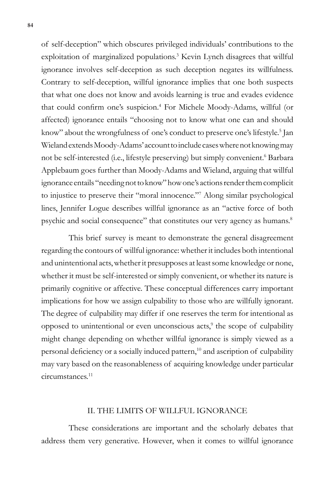of self-deception" which obscures privileged individuals' contributions to the exploitation of marginalized populations.<sup>3</sup> Kevin Lynch disagrees that willful ignorance involves self-deception as such deception negates its willfulness. Contrary to self-deception, willful ignorance implies that one both suspects that what one does not know and avoids learning is true and evades evidence that could confirm one's suspicion.<sup>4</sup> For Michele Moody-Adams, willful (or affected) ignorance entails "choosing not to know what one can and should know" about the wrongfulness of one's conduct to preserve one's lifestyle.<sup>5</sup> Jan Wieland extends Moody-Adams' account to include cases where not knowing may not be self-interested (i.e., lifestyle preserving) but simply convenient.<sup>6</sup> Barbara Applebaum goes further than Moody-Adams and Wieland, arguing that willful ignorance entails "needing not to know" how one's actions render them complicit to injustice to preserve their "moral innocence."7 Along similar psychological lines, Jennifer Logue describes willful ignorance as an "active force of both psychic and social consequence" that constitutes our very agency as humans.<sup>8</sup>

This brief survey is meant to demonstrate the general disagreement regarding the contours of willful ignorance: whether it includes both intentional and unintentional acts, whether it presupposes at least some knowledge or none, whether it must be self-interested or simply convenient, or whether its nature is primarily cognitive or affective. These conceptual differences carry important implications for how we assign culpability to those who are willfully ignorant. The degree of culpability may differ if one reserves the term for intentional as opposed to unintentional or even unconscious acts,<sup>9</sup> the scope of culpability might change depending on whether willful ignorance is simply viewed as a personal deficiency or a socially induced pattern,<sup>10</sup> and ascription of culpability may vary based on the reasonableness of acquiring knowledge under particular circumstances.11

### II. THE LIMITS OF WILLFUL IGNORANCE

These considerations are important and the scholarly debates that address them very generative. However, when it comes to willful ignorance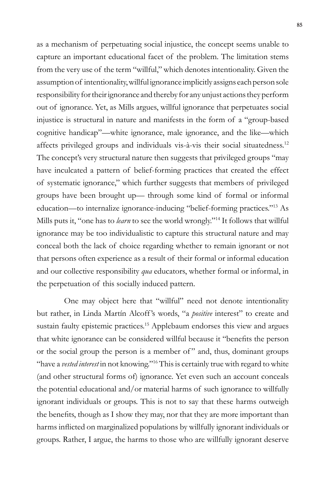as a mechanism of perpetuating social injustice, the concept seems unable to capture an important educational facet of the problem. The limitation stems from the very use of the term "willful," which denotes intentionality. Given the assumption of intentionality, willful ignorance implicitly assigns each person sole responsibility for their ignorance and thereby for any unjust actions they perform out of ignorance. Yet, as Mills argues, willful ignorance that perpetuates social injustice is structural in nature and manifests in the form of a "group-based cognitive handicap"—white ignorance, male ignorance, and the like—which affects privileged groups and individuals vis-à-vis their social situatedness.12 The concept's very structural nature then suggests that privileged groups "may have inculcated a pattern of belief-forming practices that created the effect of systematic ignorance," which further suggests that members of privileged groups have been brought up— through some kind of formal or informal education—to internalize ignorance-inducing "belief-forming practices."13 As Mills puts it, "one has to *learn* to see the world wrongly."14 It follows that willful ignorance may be too individualistic to capture this structural nature and may conceal both the lack of choice regarding whether to remain ignorant or not that persons often experience as a result of their formal or informal education and our collective responsibility *qua* educators, whether formal or informal, in the perpetuation of this socially induced pattern.

One may object here that "willful" need not denote intentionality but rather, in Linda Martín Alcoff 's words, "a *positive* interest" to create and sustain faulty epistemic practices.<sup>15</sup> Applebaum endorses this view and argues that white ignorance can be considered willful because it "benefits the person or the social group the person is a member of " and, thus, dominant groups "have a *vested interest* in not knowing."16 This is certainly true with regard to white (and other structural forms of) ignorance. Yet even such an account conceals the potential educational and/or material harms of such ignorance to willfully ignorant individuals or groups. This is not to say that these harms outweigh the benefits, though as I show they may, nor that they are more important than harms inflicted on marginalized populations by willfully ignorant individuals or groups. Rather, I argue, the harms to those who are willfully ignorant deserve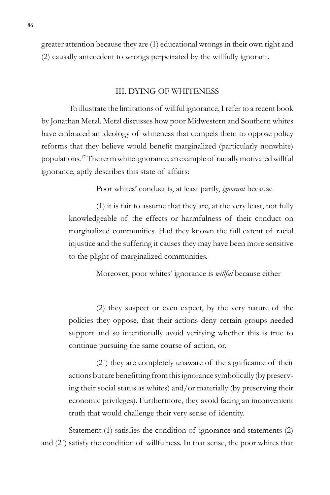greater attention because they are (1) educational wrongs in their own right and (2) causally antecedent to wrongs perpetrated by the willfully ignorant.

#### III. DYING OF WHITENESS

To illustrate the limitations of willful ignorance, I refer to a recent book by Jonathan Metzl. Metzl discusses how poor Midwestern and Southern whites have embraced an ideology of whiteness that compels them to oppose policy reforms that they believe would benefit marginalized (particularly nonwhite) populations.17 The term white ignorance, an example of racially motivated willful ignorance, aptly describes this state of affairs:

Poor whites' conduct is, at least partly, *ignorant* because

(1) it is fair to assume that they are, at the very least, not fully knowledgeable of the effects or harmfulness of their conduct on marginalized communities. Had they known the full extent of racial injustice and the suffering it causes they may have been more sensitive to the plight of marginalized communities.

Moreover, poor whites' ignorance is *willful* because either

(2) they suspect or even expect, by the very nature of the policies they oppose, that their actions deny certain groups needed support and so intentionally avoid verifying whether this is true to continue pursuing the same course of action, or,

(2´) they are completely unaware of the significance of their actions but are benefitting from this ignorance symbolically (by preserving their social status as whites) and/or materially (by preserving their economic privileges). Furthermore, they avoid facing an inconvenient truth that would challenge their very sense of identity.

Statement (1) satisfies the condition of ignorance and statements (2) and (2´) satisfy the condition of willfulness. In that sense, the poor whites that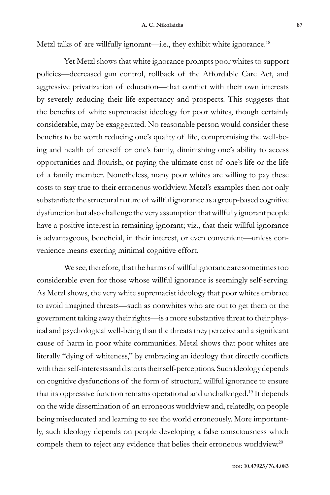Metzl talks of are willfully ignorant—i.e., they exhibit white ignorance.<sup>18</sup>

Yet Metzl shows that white ignorance prompts poor whites to support policies—decreased gun control, rollback of the Affordable Care Act, and aggressive privatization of education—that conflict with their own interests by severely reducing their life-expectancy and prospects. This suggests that the benefits of white supremacist ideology for poor whites, though certainly considerable, may be exaggerated. No reasonable person would consider these benefits to be worth reducing one's quality of life, compromising the well-being and health of oneself or one's family, diminishing one's ability to access opportunities and flourish, or paying the ultimate cost of one's life or the life of a family member. Nonetheless, many poor whites are willing to pay these costs to stay true to their erroneous worldview. Metzl's examples then not only substantiate the structural nature of willful ignorance as a group-based cognitive dysfunction but also challenge the very assumption that willfully ignorant people have a positive interest in remaining ignorant; viz., that their willful ignorance is advantageous, beneficial, in their interest, or even convenient—unless convenience means exerting minimal cognitive effort.

We see, therefore, that the harms of willful ignorance are sometimes too considerable even for those whose willful ignorance is seemingly self-serving. As Metzl shows, the very white supremacist ideology that poor whites embrace to avoid imagined threats—such as nonwhites who are out to get them or the government taking away their rights—is a more substantive threat to their physical and psychological well-being than the threats they perceive and a significant cause of harm in poor white communities. Metzl shows that poor whites are literally "dying of whiteness," by embracing an ideology that directly conflicts with their self-interests and distorts their self-perceptions. Such ideology depends on cognitive dysfunctions of the form of structural willful ignorance to ensure that its oppressive function remains operational and unchallenged.<sup>19</sup> It depends on the wide dissemination of an erroneous worldview and, relatedly, on people being miseducated and learning to see the world erroneously. More importantly, such ideology depends on people developing a false consciousness which compels them to reject any evidence that belies their erroneous worldview.<sup>20</sup>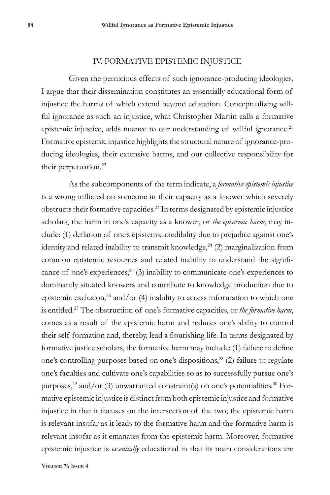#### IV. FORMATIVE EPISTEMIC INJUSTICE

Given the pernicious effects of such ignorance-producing ideologies, I argue that their dissemination constitutes an essentially educational form of injustice the harms of which extend beyond education. Conceptualizing willful ignorance as such an injustice, what Christopher Martin calls a formative epistemic injustice, adds nuance to our understanding of willful ignorance.<sup>21</sup> Formative epistemic injustice highlights the structural nature of ignorance-producing ideologies, their extensive harms, and our collective responsibility for their perpetuation.<sup>22</sup>

As the subcomponents of the term indicate, a *formative epistemic injustice* is a wrong inflicted on someone in their capacity as a knower which severely obstructs their formative capacities.23 In terms designated by epistemic injustice scholars, the harm in one's capacity as a knower, or *the epistemic harm*, may include: (1) deflation of one's epistemic credibility due to prejudice against one's identity and related inability to transmit knowledge, $24$  (2) marginalization from common epistemic resources and related inability to understand the significance of one's experiences, $25$  (3) inability to communicate one's experiences to dominantly situated knowers and contribute to knowledge production due to epistemic exclusion,<sup>26</sup> and/or (4) inability to access information to which one is entitled.27 The obstruction of one's formative capacities, or *the formative harm*, comes as a result of the epistemic harm and reduces one's ability to control their self-formation and, thereby, lead a flourishing life. In terms designated by formative justice scholars, the formative harm may include: (1) failure to define one's controlling purposes based on one's dispositions,<sup>28</sup> (2) failure to regulate one's faculties and cultivate one's capabilities so as to successfully pursue one's purposes, $^{29}$  and/or (3) unwarranted constraint(s) on one's potentialities. $^{30}$  Formative epistemic injustice is distinct from both epistemic injustice and formative injustice in that it focuses on the intersection of the two; the epistemic harm is relevant insofar as it leads to the formative harm and the formative harm is relevant insofar as it emanates from the epistemic harm. Moreover, formative epistemic injustice is *essentially* educational in that its main considerations are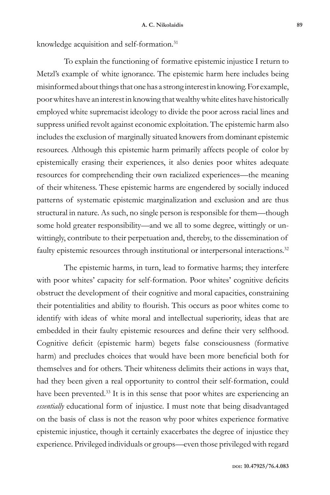knowledge acquisition and self-formation.<sup>31</sup>

To explain the functioning of formative epistemic injustice I return to Metzl's example of white ignorance. The epistemic harm here includes being misinformed about things that one has a strong interest in knowing. For example, poor whites have an interest in knowing that wealthy white elites have historically employed white supremacist ideology to divide the poor across racial lines and suppress unified revolt against economic exploitation. The epistemic harm also includes the exclusion of marginally situated knowers from dominant epistemic resources. Although this epistemic harm primarily affects people of color by epistemically erasing their experiences, it also denies poor whites adequate resources for comprehending their own racialized experiences—the meaning of their whiteness. These epistemic harms are engendered by socially induced patterns of systematic epistemic marginalization and exclusion and are thus structural in nature. As such, no single person is responsible for them—though some hold greater responsibility—and we all to some degree, wittingly or unwittingly, contribute to their perpetuation and, thereby, to the dissemination of faulty epistemic resources through institutional or interpersonal interactions.<sup>32</sup>

The epistemic harms, in turn, lead to formative harms; they interfere with poor whites' capacity for self-formation. Poor whites' cognitive deficits obstruct the development of their cognitive and moral capacities, constraining their potentialities and ability to flourish. This occurs as poor whites come to identify with ideas of white moral and intellectual superiority, ideas that are embedded in their faulty epistemic resources and define their very selfhood. Cognitive deficit (epistemic harm) begets false consciousness (formative harm) and precludes choices that would have been more beneficial both for themselves and for others. Their whiteness delimits their actions in ways that, had they been given a real opportunity to control their self-formation, could have been prevented.<sup>33</sup> It is in this sense that poor whites are experiencing an *essentially* educational form of injustice. I must note that being disadvantaged on the basis of class is not the reason why poor whites experience formative epistemic injustice, though it certainly exacerbates the degree of injustice they experience. Privileged individuals or groups—even those privileged with regard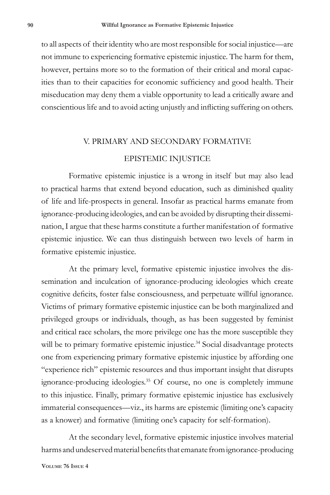to all aspects of their identity who are most responsible for social injustice—are not immune to experiencing formative epistemic injustice. The harm for them, however, pertains more so to the formation of their critical and moral capacities than to their capacities for economic sufficiency and good health. Their miseducation may deny them a viable opportunity to lead a critically aware and conscientious life and to avoid acting unjustly and inflicting suffering on others.

## V. PRIMARY AND SECONDARY FORMATIVE

### EPISTEMIC INJUSTICE

Formative epistemic injustice is a wrong in itself but may also lead to practical harms that extend beyond education, such as diminished quality of life and life-prospects in general. Insofar as practical harms emanate from ignorance-producing ideologies, and can be avoided by disrupting their dissemination, I argue that these harms constitute a further manifestation of formative epistemic injustice. We can thus distinguish between two levels of harm in formative epistemic injustice.

At the primary level, formative epistemic injustice involves the dissemination and inculcation of ignorance-producing ideologies which create cognitive deficits, foster false consciousness, and perpetuate willful ignorance. Victims of primary formative epistemic injustice can be both marginalized and privileged groups or individuals, though, as has been suggested by feminist and critical race scholars, the more privilege one has the more susceptible they will be to primary formative epistemic injustice.<sup>34</sup> Social disadvantage protects one from experiencing primary formative epistemic injustice by affording one "experience rich" epistemic resources and thus important insight that disrupts ignorance-producing ideologies.35 Of course, no one is completely immune to this injustice. Finally, primary formative epistemic injustice has exclusively immaterial consequences—viz., its harms are epistemic (limiting one's capacity as a knower) and formative (limiting one's capacity for self-formation).

At the secondary level, formative epistemic injustice involves material harms and undeserved material benefits that emanate from ignorance-producing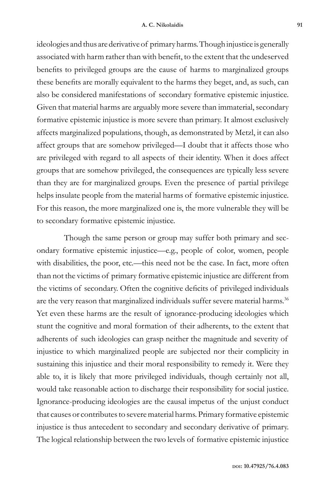ideologies and thus are derivative of primary harms. Though injustice is generally associated with harm rather than with benefit, to the extent that the undeserved benefits to privileged groups are the cause of harms to marginalized groups these benefits are morally equivalent to the harms they beget, and, as such, can also be considered manifestations of secondary formative epistemic injustice. Given that material harms are arguably more severe than immaterial, secondary formative epistemic injustice is more severe than primary. It almost exclusively affects marginalized populations, though, as demonstrated by Metzl, it can also affect groups that are somehow privileged—I doubt that it affects those who are privileged with regard to all aspects of their identity. When it does affect groups that are somehow privileged, the consequences are typically less severe than they are for marginalized groups. Even the presence of partial privilege helps insulate people from the material harms of formative epistemic injustice. For this reason, the more marginalized one is, the more vulnerable they will be to secondary formative epistemic injustice.

Though the same person or group may suffer both primary and secondary formative epistemic injustice—e.g., people of color, women, people with disabilities, the poor, etc.—this need not be the case. In fact, more often than not the victims of primary formative epistemic injustice are different from the victims of secondary. Often the cognitive deficits of privileged individuals are the very reason that marginalized individuals suffer severe material harms.<sup>36</sup> Yet even these harms are the result of ignorance-producing ideologies which stunt the cognitive and moral formation of their adherents, to the extent that adherents of such ideologies can grasp neither the magnitude and severity of injustice to which marginalized people are subjected nor their complicity in sustaining this injustice and their moral responsibility to remedy it. Were they able to, it is likely that more privileged individuals, though certainly not all, would take reasonable action to discharge their responsibility for social justice. Ignorance-producing ideologies are the causal impetus of the unjust conduct that causes or contributes to severe material harms. Primary formative epistemic injustice is thus antecedent to secondary and secondary derivative of primary. The logical relationship between the two levels of formative epistemic injustice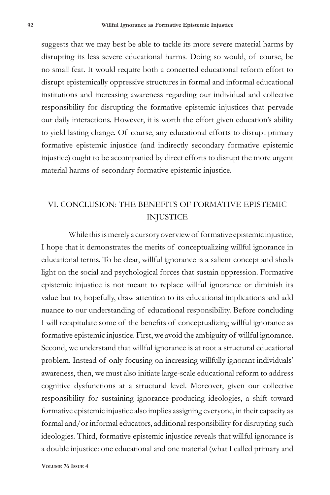suggests that we may best be able to tackle its more severe material harms by disrupting its less severe educational harms. Doing so would, of course, be no small feat. It would require both a concerted educational reform effort to disrupt epistemically oppressive structures in formal and informal educational institutions and increasing awareness regarding our individual and collective responsibility for disrupting the formative epistemic injustices that pervade our daily interactions. However, it is worth the effort given education's ability to yield lasting change. Of course, any educational efforts to disrupt primary formative epistemic injustice (and indirectly secondary formative epistemic injustice) ought to be accompanied by direct efforts to disrupt the more urgent material harms of secondary formative epistemic injustice.

# VI. CONCLUSION: THE BENEFITS OF FORMATIVE EPISTEMIC INJUSTICE

While this is merely a cursory overview of formative epistemic injustice, I hope that it demonstrates the merits of conceptualizing willful ignorance in educational terms. To be clear, willful ignorance is a salient concept and sheds light on the social and psychological forces that sustain oppression. Formative epistemic injustice is not meant to replace willful ignorance or diminish its value but to, hopefully, draw attention to its educational implications and add nuance to our understanding of educational responsibility. Before concluding I will recapitulate some of the benefits of conceptualizing willful ignorance as formative epistemic injustice. First, we avoid the ambiguity of willful ignorance. Second, we understand that willful ignorance is at root a structural educational problem. Instead of only focusing on increasing willfully ignorant individuals' awareness, then, we must also initiate large-scale educational reform to address cognitive dysfunctions at a structural level. Moreover, given our collective responsibility for sustaining ignorance-producing ideologies, a shift toward formative epistemic injustice also implies assigning everyone, in their capacity as formal and/or informal educators, additional responsibility for disrupting such ideologies. Third, formative epistemic injustice reveals that willful ignorance is a double injustice: one educational and one material (what I called primary and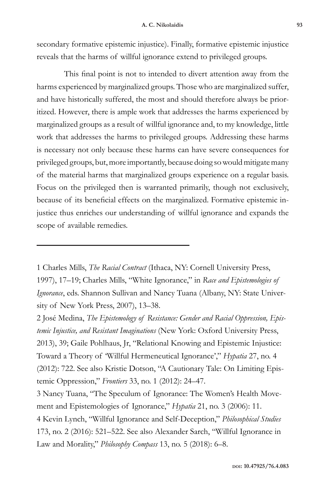secondary formative epistemic injustice). Finally, formative epistemic injustice reveals that the harms of willful ignorance extend to privileged groups.

This final point is not to intended to divert attention away from the harms experienced by marginalized groups. Those who are marginalized suffer, and have historically suffered, the most and should therefore always be prioritized. However, there is ample work that addresses the harms experienced by marginalized groups as a result of willful ignorance and, to my knowledge, little work that addresses the harms to privileged groups. Addressing these harms is necessary not only because these harms can have severe consequences for privileged groups, but, more importantly, because doing so would mitigate many of the material harms that marginalized groups experience on a regular basis. Focus on the privileged then is warranted primarily, though not exclusively, because of its beneficial effects on the marginalized. Formative epistemic injustice thus enriches our understanding of willful ignorance and expands the scope of available remedies.

1 Charles Mills, *The Racial Contract* (Ithaca, NY: Cornell University Press, 1997), 17–19; Charles Mills, "White Ignorance," in *Race and Epistemologies of Ignorance*, eds. Shannon Sullivan and Nancy Tuana (Albany, NY: State University of New York Press, 2007), 13–38.

2 José Medina, *The Epistemology of Resistance: Gender and Racial Oppression, Epistemic Injustice, and Resistant Imaginations* (New York: Oxford University Press, 2013), 39; Gaile Pohlhaus, Jr, "Relational Knowing and Epistemic Injustice: Toward a Theory of 'Willful Hermeneutical Ignorance'," *Hypatia* 27, no. 4 (2012): 722. See also Kristie Dotson, "A Cautionary Tale: On Limiting Epistemic Oppression," *Frontiers* 33, no. 1 (2012): 24–47.

3 Nancy Tuana, "The Speculum of Ignorance: The Women's Health Movement and Epistemologies of Ignorance," *Hypatia* 21, no. 3 (2006): 11. 4 Kevin Lynch, "Willful Ignorance and Self-Deception," *Philosophical Studies* 173, no. 2 (2016): 521–522. See also Alexander Sarch, "Willful Ignorance in Law and Morality," *Philosophy Compass* 13, no. 5 (2018): 6–8.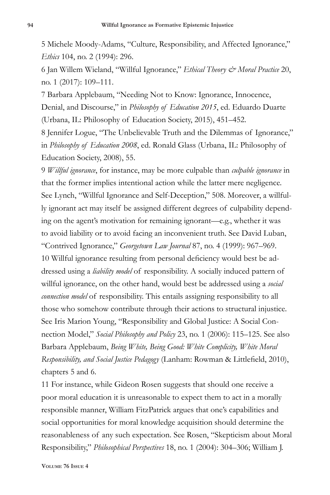5 Michele Moody-Adams, "Culture, Responsibility, and Affected Ignorance," *Ethics* 104, no. 2 (1994): 296.

6 Jan Willem Wieland, "Willful Ignorance," *Ethical Theory & Moral Practice* 20, no. 1 (2017): 109–111.

7 Barbara Applebaum, "Needing Not to Know: Ignorance, Innocence, Denial, and Discourse," in *Philosophy of Education 2015*, ed. Eduardo Duarte (Urbana, IL: Philosophy of Education Society, 2015), 451–452.

8 Jennifer Logue, "The Unbelievable Truth and the Dilemmas of Ignorance," in *Philosophy of Education 2008*, ed. Ronald Glass (Urbana, IL: Philosophy of Education Society, 2008), 55.

9 *Willful ignorance*, for instance, may be more culpable than *culpable ignorance* in that the former implies intentional action while the latter mere negligence. See Lynch, "Willful Ignorance and Self-Deception," 508. Moreover, a willfully ignorant act may itself be assigned different degrees of culpability depending on the agent's motivation for remaining ignorant—e.g., whether it was to avoid liability or to avoid facing an inconvenient truth. See David Luban, "Contrived Ignorance," *Georgetown Law Journal* 87, no. 4 (1999): 967–969. 10 Willful ignorance resulting from personal deficiency would best be addressed using a *liability model* of responsibility. A socially induced pattern of willful ignorance, on the other hand, would best be addressed using a *social connection model* of responsibility. This entails assigning responsibility to all those who somehow contribute through their actions to structural injustice. See Iris Marion Young, "Responsibility and Global Justice: A Social Connection Model," *Social Philosophy and Policy* 23, no. 1 (2006): 115–125. See also Barbara Applebaum, *Being White, Being Good: White Complicity, White Moral Responsibility, and Social Justice Pedagogy* (Lanham: Rowman & Littlefield, 2010), chapters 5 and 6.

11 For instance, while Gideon Rosen suggests that should one receive a poor moral education it is unreasonable to expect them to act in a morally responsible manner, William FitzPatrick argues that one's capabilities and social opportunities for moral knowledge acquisition should determine the reasonableness of any such expectation. See Rosen, "Skepticism about Moral Responsibility," *Philosophical Perspectives* 18, no. 1 (2004): 304–306; William J.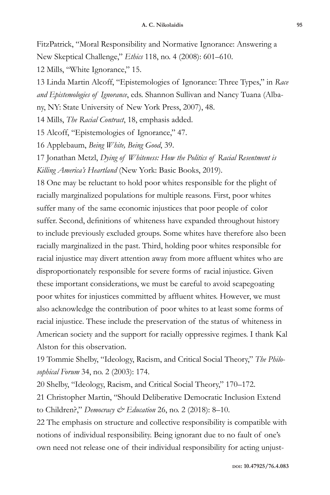FitzPatrick, "Moral Responsibility and Normative Ignorance: Answering a New Skeptical Challenge," *Ethics* 118, no. 4 (2008): 601–610.

12 Mills, "White Ignorance," 15.

13 Linda Martin Alcoff, "Epistemologies of Ignorance: Three Types," in *Race and Epistemologies of Ignorance*, eds. Shannon Sullivan and Nancy Tuana (Albany, NY: State University of New York Press, 2007), 48.

14 Mills, *The Racial Contract*, 18, emphasis added.

15 Alcoff, "Epistemologies of Ignorance," 47.

16 Applebaum, *Being White, Being Good*, 39.

17 Jonathan Metzl, *Dying of Whiteness: How the Politics of Racial Resentment is Killing America's Heartland* (New York: Basic Books, 2019).

18 One may be reluctant to hold poor whites responsible for the plight of racially marginalized populations for multiple reasons. First, poor whites suffer many of the same economic injustices that poor people of color suffer. Second, definitions of whiteness have expanded throughout history to include previously excluded groups. Some whites have therefore also been racially marginalized in the past. Third, holding poor whites responsible for racial injustice may divert attention away from more affluent whites who are disproportionately responsible for severe forms of racial injustice. Given these important considerations, we must be careful to avoid scapegoating poor whites for injustices committed by affluent whites. However, we must also acknowledge the contribution of poor whites to at least some forms of racial injustice. These include the preservation of the status of whiteness in American society and the support for racially oppressive regimes. I thank Kal Alston for this observation.

19 Tommie Shelby, "Ideology, Racism, and Critical Social Theory," *The Philosophical Forum* 34, no. 2 (2003): 174.

20 Shelby, "Ideology, Racism, and Critical Social Theory," 170–172.

21 Christopher Martin, "Should Deliberative Democratic Inclusion Extend to Children?," *Democracy & Education* 26, no. 2 (2018): 8–10.

22 The emphasis on structure and collective responsibility is compatible with notions of individual responsibility. Being ignorant due to no fault of one's own need not release one of their individual responsibility for acting unjust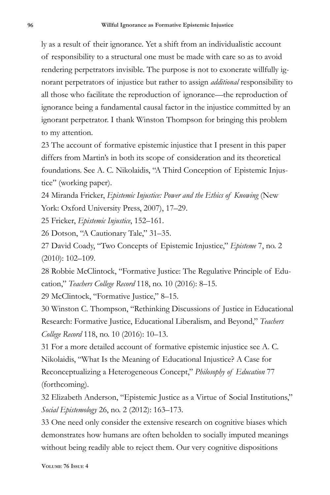ly as a result of their ignorance. Yet a shift from an individualistic account of responsibility to a structural one must be made with care so as to avoid rendering perpetrators invisible. The purpose is not to exonerate willfully ignorant perpetrators of injustice but rather to assign *additional* responsibility to all those who facilitate the reproduction of ignorance—the reproduction of ignorance being a fundamental causal factor in the injustice committed by an ignorant perpetrator. I thank Winston Thompson for bringing this problem to my attention.

23 The account of formative epistemic injustice that I present in this paper differs from Martin's in both its scope of consideration and its theoretical foundations. See A. C. Nikolaidis, "A Third Conception of Epistemic Injustice" (working paper).

24 Miranda Fricker, *Epistemic Injustice: Power and the Ethics of Knowing* (New York: Oxford University Press, 2007), 17–29.

25 Fricker, *Epistemic Injustice*, 152–161.

26 Dotson, "A Cautionary Tale," 31–35.

27 David Coady, "Two Concepts of Epistemic Injustice," *Episteme* 7, no. 2 (2010): 102–109.

28 Robbie McClintock, "Formative Justice: The Regulative Principle of Education," *Teachers College Record* 118, no. 10 (2016): 8–15.

29 McClintock, "Formative Justice," 8–15.

30 Winston C. Thompson, "Rethinking Discussions of Justice in Educational Research: Formative Justice, Educational Liberalism, and Beyond," *Teachers College Record* 118, no. 10 (2016): 10–13.

31 For a more detailed account of formative epistemic injustice see A. C. Nikolaidis, "What Is the Meaning of Educational Injustice? A Case for Reconceptualizing a Heterogeneous Concept," *Philosophy of Education* 77 (forthcoming).

32 Elizabeth Anderson, "Epistemic Justice as a Virtue of Social Institutions," *Social Epistemology* 26, no. 2 (2012): 163–173.

33 One need only consider the extensive research on cognitive biases which demonstrates how humans are often beholden to socially imputed meanings without being readily able to reject them. Our very cognitive dispositions